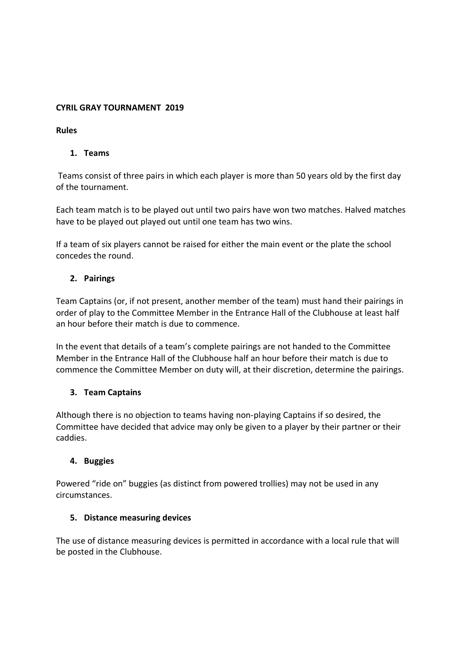# **CYRIL GRAY TOURNAMENT 2019**

## **Rules**

# **1. Teams**

Teams consist of three pairs in which each player is more than 50 years old by the first day of the tournament.

Each team match is to be played out until two pairs have won two matches. Halved matches have to be played out played out until one team has two wins.

If a team of six players cannot be raised for either the main event or the plate the school concedes the round.

# **2. Pairings**

Team Captains (or, if not present, another member of the team) must hand their pairings in order of play to the Committee Member in the Entrance Hall of the Clubhouse at least half an hour before their match is due to commence.

In the event that details of a team's complete pairings are not handed to the Committee Member in the Entrance Hall of the Clubhouse half an hour before their match is due to commence the Committee Member on duty will, at their discretion, determine the pairings.

### **3. Team Captains**

Although there is no objection to teams having non-playing Captains if so desired, the Committee have decided that advice may only be given to a player by their partner or their caddies.

### **4. Buggies**

Powered "ride on" buggies (as distinct from powered trollies) may not be used in any circumstances.

### **5. Distance measuring devices**

The use of distance measuring devices is permitted in accordance with a local rule that will be posted in the Clubhouse.